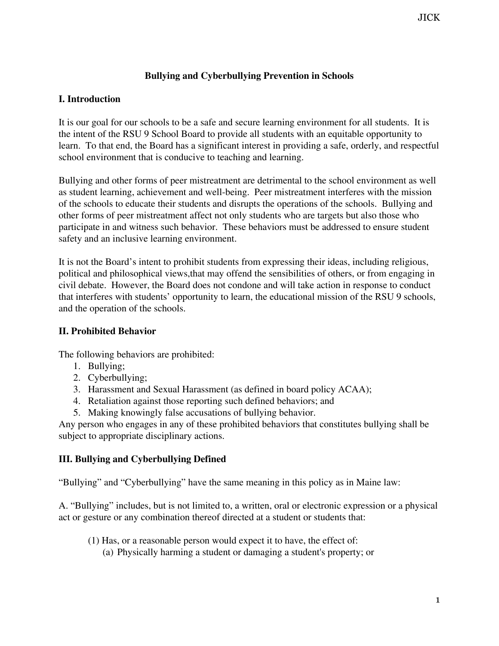## **Bullying and Cyberbullying Prevention in Schools**

### **I. Introduction**

It is our goal for our schools to be a safe and secure learning environment for all students. It is the intent of the RSU 9 School Board to provide all students with an equitable opportunity to learn. To that end, the Board has a significant interest in providing a safe, orderly, and respectful school environment that is conducive to teaching and learning.

Bullying and other forms of peer mistreatment are detrimental to the school environment as well as student learning, achievement and well-being. Peer mistreatment interferes with the mission of the schools to educate their students and disrupts the operations of the schools. Bullying and other forms of peer mistreatment affect not only students who are targets but also those who participate in and witness such behavior. These behaviors must be addressed to ensure student safety and an inclusive learning environment.

It is not the Board's intent to prohibit students from expressing their ideas, including religious, political and philosophical views,that may offend the sensibilities of others, or from engaging in civil debate. However, the Board does not condone and will take action in response to conduct that interferes with students' opportunity to learn, the educational mission of the RSU 9 schools, and the operation of the schools.

#### **II. Prohibited Behavior**

The following behaviors are prohibited:

- 1. Bullying;
- 2. Cyberbullying;
- 3. Harassment and Sexual Harassment (as defined in board policy ACAA);
- 4. Retaliation against those reporting such defined behaviors; and
- 5. Making knowingly false accusations of bullying behavior.

Any person who engages in any of these prohibited behaviors that constitutes bullying shall be subject to appropriate disciplinary actions.

### **III. Bullying and Cyberbullying Defined**

"Bullying" and "Cyberbullying" have the same meaning in this policy as in Maine law:

A. "Bullying" includes, but is not limited to, a written, oral or electronic expression or a physical act or gesture or any combination thereof directed at a student or students that:

- (1) Has, or a reasonable person would expect it to have, the effect of:
	- (a) Physically harming a student or damaging a student's property; or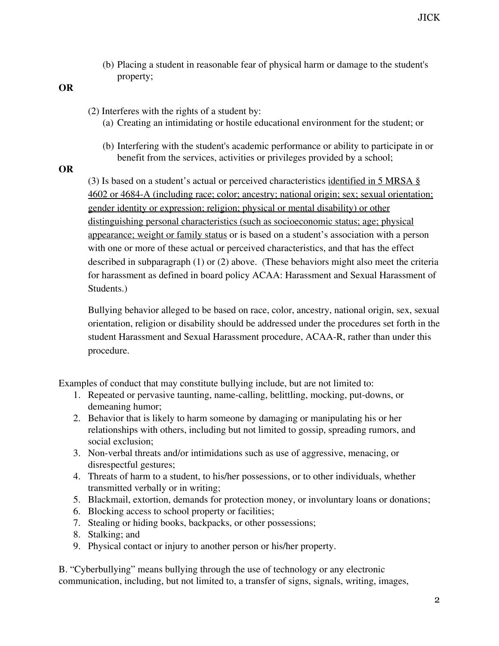- (b) Placing a student in reasonable fear of physical harm or damage to the student's property;
- **OR**
- (2) Interferes with the rights of a student by:
	- (a) Creating an intimidating or hostile educational environment for the student; or
	- (b) Interfering with the student's academic performance or ability to participate in or benefit from the services, activities or privileges provided by a school;
- **OR**

(3) Is based on a student's actual or perceived characteristics identified in 5 MRSA § 4602 or 4684-A (including race; color; ancestry; national origin; sex; sexual orientation; gender identity or expression; religion; physical or mental disability) or other distinguishing personal characteristics (such as socioeconomic status; age; physical appearance; weight or family status or is based on a student's association with a person with one or more of these actual or perceived characteristics, and that has the effect described in subparagraph (1) or (2) above. (These behaviors might also meet the criteria for harassment as defined in board policy ACAA: Harassment and Sexual Harassment of Students.)

Bullying behavior alleged to be based on race, color, ancestry, national origin, sex, sexual orientation, religion or disability should be addressed under the procedures set forth in the student Harassment and Sexual Harassment procedure, ACAA-R, rather than under this procedure.

Examples of conduct that may constitute bullying include, but are not limited to:

- 1. Repeated or pervasive taunting, name-calling, belittling, mocking, put-downs, or demeaning humor;
- 2. Behavior that is likely to harm someone by damaging or manipulating his or her relationships with others, including but not limited to gossip, spreading rumors, and social exclusion;
- 3. Non-verbal threats and/or intimidations such as use of aggressive, menacing, or disrespectful gestures;
- 4. Threats of harm to a student, to his/her possessions, or to other individuals, whether transmitted verbally or in writing;
- 5. Blackmail, extortion, demands for protection money, or involuntary loans or donations;
- 6. Blocking access to school property or facilities;
- 7. Stealing or hiding books, backpacks, or other possessions;
- 8. Stalking; and
- 9. Physical contact or injury to another person or his/her property.

B. "Cyberbullying" means bullying through the use of technology or any electronic communication, including, but not limited to, a transfer of signs, signals, writing, images,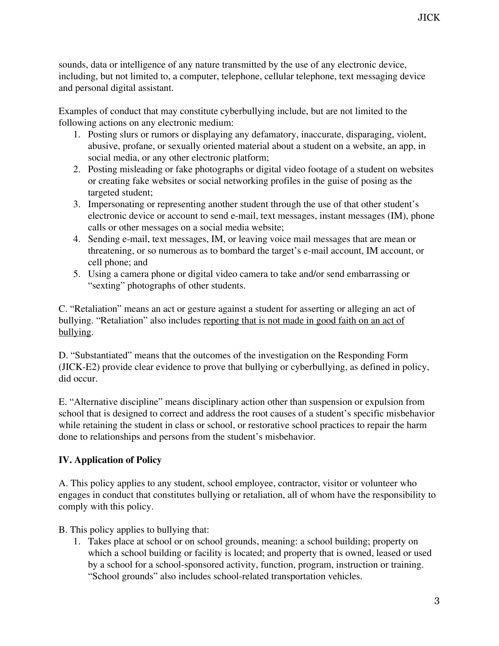sounds, data or intelligence of any nature transmitted by the use of any electronic device, including, but not limited to, a computer, telephone, cellular telephone, text messaging device and personal digital assistant.

Examples of conduct that may constitute cyberbullying include, but are not limited to the following actions on any electronic medium:

- 1. Posting slurs or rumors or displaying any defamatory, inaccurate, disparaging, violent, abusive, profane, or sexually oriented material about a student on a website, an app, in social media, or any other electronic platform;
- 2. Posting misleading or fake photographs or digital video footage of a student on websites or creating fake websites or social networking profiles in the guise of posing as the targeted student;
- 3. Impersonating or representing another student through the use of that other student's electronic device or account to send e-mail, text messages, instant messages (IM), phone calls or other messages on a social media website;
- 4. Sending e-mail, text messages, IM, or leaving voice mail messages that are mean or threatening, or so numerous as to bombard the target's e-mail account, IM account, or cell phone; and
- 5. Using a camera phone or digital video camera to take and/or send embarrassing or "sexting" photographs of other students.

C. "Retaliation" means an act or gesture against a student for asserting or alleging an act of bullying. "Retaliation" also includes reporting that is not made in good faith on an act of bullying.

D. "Substantiated" means that the outcomes of the investigation on the Responding Form (JICK-E2) provide clear evidence to prove that bullying or cyberbullying, as defined in policy, did occur.

E. "Alternative discipline" means disciplinary action other than suspension or expulsion from school that is designed to correct and address the root causes of a student's specific misbehavior while retaining the student in class or school, or restorative school practices to repair the harm done to relationships and persons from the student's misbehavior.

## **IV. Application of Policy**

A. This policy applies to any student, school employee, contractor, visitor or volunteer who engages in conduct that constitutes bullying or retaliation, all of whom have the responsibility to comply with this policy.

B. This policy applies to bullying that:

1. Takes place at school or on school grounds, meaning: a school building; property on which a school building or facility is located; and property that is owned, leased or used by a school for a school-sponsored activity, function, program, instruction or training. "School grounds" also includes school-related transportation vehicles.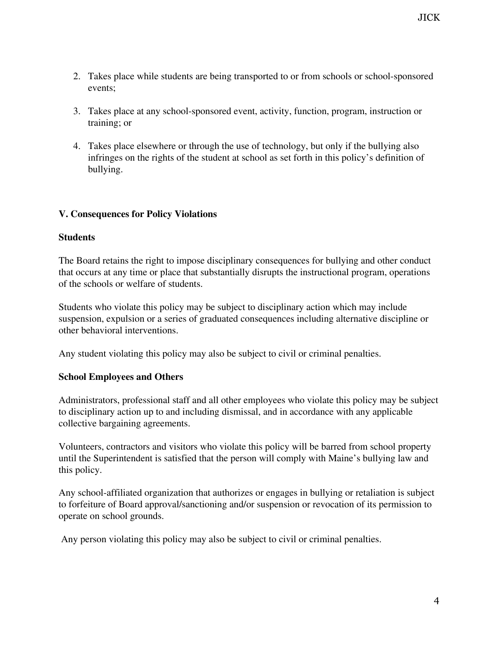- 2. Takes place while students are being transported to or from schools or school-sponsored events;
- 3. Takes place at any school-sponsored event, activity, function, program, instruction or training; or
- 4. Takes place elsewhere or through the use of technology, but only if the bullying also infringes on the rights of the student at school as set forth in this policy's definition of bullying.

### **V. Consequences for Policy Violations**

#### **Students**

The Board retains the right to impose disciplinary consequences for bullying and other conduct that occurs at any time or place that substantially disrupts the instructional program, operations of the schools or welfare of students.

Students who violate this policy may be subject to disciplinary action which may include suspension, expulsion or a series of graduated consequences including alternative discipline or other behavioral interventions.

Any student violating this policy may also be subject to civil or criminal penalties.

#### **School Employees and Others**

Administrators, professional staff and all other employees who violate this policy may be subject to disciplinary action up to and including dismissal, and in accordance with any applicable collective bargaining agreements.

Volunteers, contractors and visitors who violate this policy will be barred from school property until the Superintendent is satisfied that the person will comply with Maine's bullying law and this policy.

Any school-affiliated organization that authorizes or engages in bullying or retaliation is subject to forfeiture of Board approval/sanctioning and/or suspension or revocation of its permission to operate on school grounds.

Any person violating this policy may also be subject to civil or criminal penalties.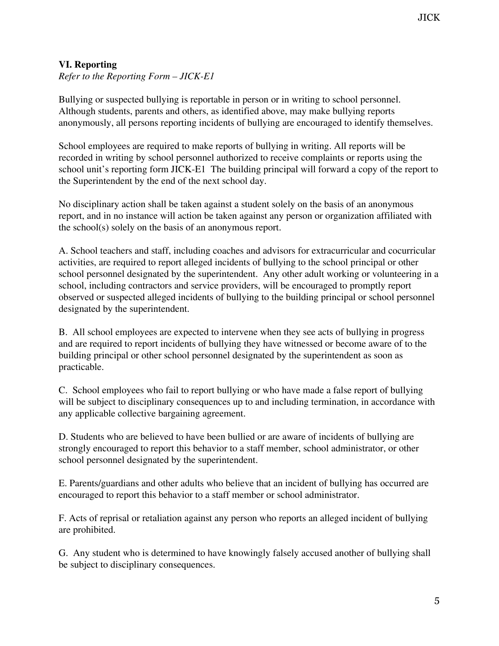## **VI. Reporting**

*Refer to the Reporting Form – JICK-E1*

Bullying or suspected bullying is reportable in person or in writing to school personnel. Although students, parents and others, as identified above, may make bullying reports anonymously, all persons reporting incidents of bullying are encouraged to identify themselves.

School employees are required to make reports of bullying in writing. All reports will be recorded in writing by school personnel authorized to receive complaints or reports using the school unit's reporting form JICK-E1 The building principal will forward a copy of the report to the Superintendent by the end of the next school day.

No disciplinary action shall be taken against a student solely on the basis of an anonymous report, and in no instance will action be taken against any person or organization affiliated with the school(s) solely on the basis of an anonymous report.

A. School teachers and staff, including coaches and advisors for extracurricular and cocurricular activities, are required to report alleged incidents of bullying to the school principal or other school personnel designated by the superintendent. Any other adult working or volunteering in a school, including contractors and service providers, will be encouraged to promptly report observed or suspected alleged incidents of bullying to the building principal or school personnel designated by the superintendent.

B. All school employees are expected to intervene when they see acts of bullying in progress and are required to report incidents of bullying they have witnessed or become aware of to the building principal or other school personnel designated by the superintendent as soon as practicable.

C. School employees who fail to report bullying or who have made a false report of bullying will be subject to disciplinary consequences up to and including termination, in accordance with any applicable collective bargaining agreement.

D. Students who are believed to have been bullied or are aware of incidents of bullying are strongly encouraged to report this behavior to a staff member, school administrator, or other school personnel designated by the superintendent.

E. Parents/guardians and other adults who believe that an incident of bullying has occurred are encouraged to report this behavior to a staff member or school administrator.

F. Acts of reprisal or retaliation against any person who reports an alleged incident of bullying are prohibited.

G. Any student who is determined to have knowingly falsely accused another of bullying shall be subject to disciplinary consequences.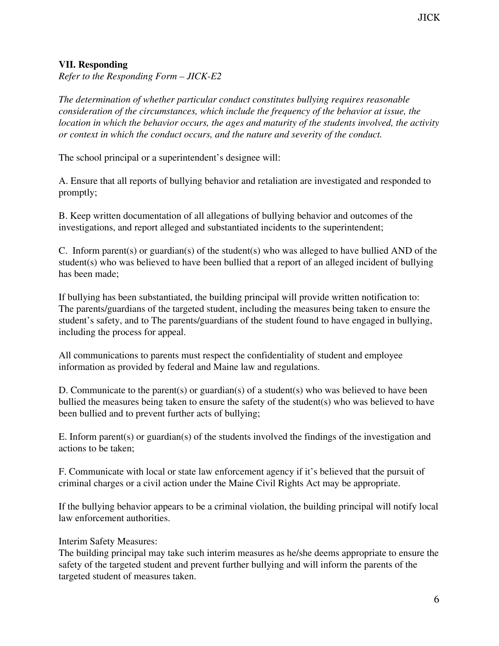## **VII. Responding**

*Refer to the Responding Form – JICK-E2*

*The determination of whether particular conduct constitutes bullying requires reasonable consideration of the circumstances, which include the frequency of the behavior at issue, the location in which the behavior occurs, the ages and maturity of the students involved, the activity or context in which the conduct occurs, and the nature and severity of the conduct.*

The school principal or a superintendent's designee will:

A. Ensure that all reports of bullying behavior and retaliation are investigated and responded to promptly;

B. Keep written documentation of all allegations of bullying behavior and outcomes of the investigations, and report alleged and substantiated incidents to the superintendent;

C. Inform parent(s) or guardian(s) of the student(s) who was alleged to have bullied AND of the student(s) who was believed to have been bullied that a report of an alleged incident of bullying has been made;

If bullying has been substantiated, the building principal will provide written notification to: The parents/guardians of the targeted student, including the measures being taken to ensure the student's safety, and to The parents/guardians of the student found to have engaged in bullying, including the process for appeal.

All communications to parents must respect the confidentiality of student and employee information as provided by federal and Maine law and regulations.

D. Communicate to the parent(s) or guardian(s) of a student(s) who was believed to have been bullied the measures being taken to ensure the safety of the student(s) who was believed to have been bullied and to prevent further acts of bullying;

E. Inform parent(s) or guardian(s) of the students involved the findings of the investigation and actions to be taken;

F. Communicate with local or state law enforcement agency if it's believed that the pursuit of criminal charges or a civil action under the Maine Civil Rights Act may be appropriate.

If the bullying behavior appears to be a criminal violation, the building principal will notify local law enforcement authorities.

Interim Safety Measures:

The building principal may take such interim measures as he/she deems appropriate to ensure the safety of the targeted student and prevent further bullying and will inform the parents of the targeted student of measures taken.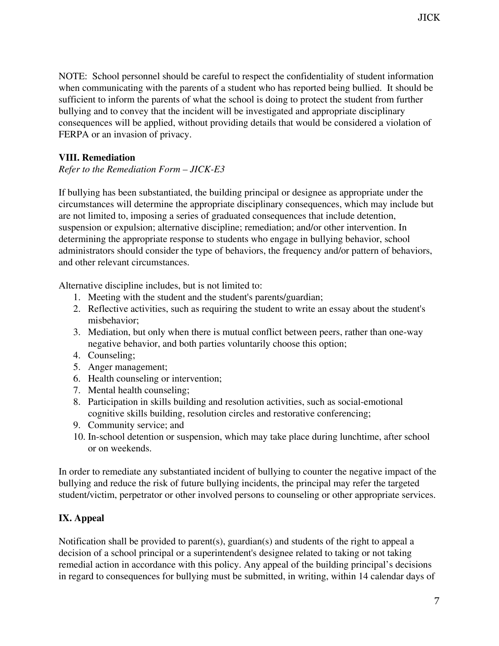NOTE: School personnel should be careful to respect the confidentiality of student information when communicating with the parents of a student who has reported being bullied. It should be sufficient to inform the parents of what the school is doing to protect the student from further bullying and to convey that the incident will be investigated and appropriate disciplinary consequences will be applied, without providing details that would be considered a violation of FERPA or an invasion of privacy.

## **VIII. Remediation**

### *Refer to the Remediation Form – JICK-E3*

If bullying has been substantiated, the building principal or designee as appropriate under the circumstances will determine the appropriate disciplinary consequences, which may include but are not limited to, imposing a series of graduated consequences that include detention, suspension or expulsion; alternative discipline; remediation; and/or other intervention. In determining the appropriate response to students who engage in bullying behavior, school administrators should consider the type of behaviors, the frequency and/or pattern of behaviors, and other relevant circumstances.

Alternative discipline includes, but is not limited to:

- 1. Meeting with the student and the student's parents/guardian;
- 2. Reflective activities, such as requiring the student to write an essay about the student's misbehavior;
- 3. Mediation, but only when there is mutual conflict between peers, rather than one-way negative behavior, and both parties voluntarily choose this option;
- 4. Counseling;
- 5. Anger management;
- 6. Health counseling or intervention;
- 7. Mental health counseling;
- 8. Participation in skills building and resolution activities, such as social-emotional cognitive skills building, resolution circles and restorative conferencing;
- 9. Community service; and
- 10. In-school detention or suspension, which may take place during lunchtime, after school or on weekends.

In order to remediate any substantiated incident of bullying to counter the negative impact of the bullying and reduce the risk of future bullying incidents, the principal may refer the targeted student/victim, perpetrator or other involved persons to counseling or other appropriate services.

# **IX. Appeal**

Notification shall be provided to parent(s), guardian(s) and students of the right to appeal a decision of a school principal or a superintendent's designee related to taking or not taking remedial action in accordance with this policy. Any appeal of the building principal's decisions in regard to consequences for bullying must be submitted, in writing, within 14 calendar days of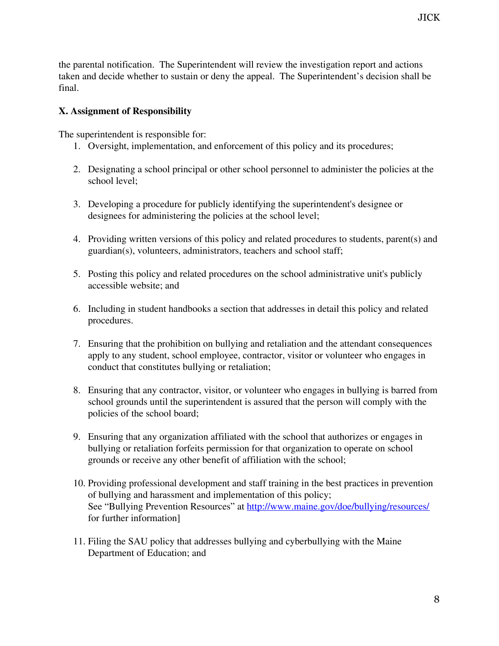the parental notification. The Superintendent will review the investigation report and actions taken and decide whether to sustain or deny the appeal. The Superintendent's decision shall be final.

### **X. Assignment of Responsibility**

The superintendent is responsible for:

- 1. Oversight, implementation, and enforcement of this policy and its procedures;
- 2. Designating a school principal or other school personnel to administer the policies at the school level;
- 3. Developing a procedure for publicly identifying the superintendent's designee or designees for administering the policies at the school level;
- 4. Providing written versions of this policy and related procedures to students, parent(s) and guardian(s), volunteers, administrators, teachers and school staff;
- 5. Posting this policy and related procedures on the school administrative unit's publicly accessible website; and
- 6. Including in student handbooks a section that addresses in detail this policy and related procedures.
- 7. Ensuring that the prohibition on bullying and retaliation and the attendant consequences apply to any student, school employee, contractor, visitor or volunteer who engages in conduct that constitutes bullying or retaliation;
- 8. Ensuring that any contractor, visitor, or volunteer who engages in bullying is barred from school grounds until the superintendent is assured that the person will comply with the policies of the school board;
- 9. Ensuring that any organization affiliated with the school that authorizes or engages in bullying or retaliation forfeits permission for that organization to operate on school grounds or receive any other benefit of affiliation with the school;
- 10. Providing professional development and staff training in the best practices in prevention of bullying and harassment and implementation of this policy; See "Bullying Prevention Resources" at <http://www.maine.gov/doe/bullying/resources/> for further information]
- 11. Filing the SAU policy that addresses bullying and cyberbullying with the Maine Department of Education; and